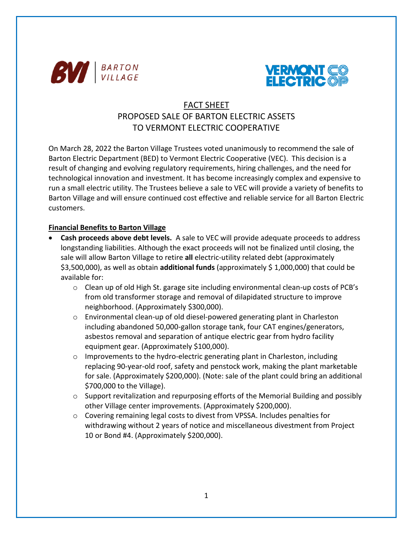



# FACT SHEET PROPOSED SALE OF BARTON ELECTRIC ASSETS TO VERMONT ELECTRIC COOPERATIVE

On March 28, 2022 the Barton Village Trustees voted unanimously to recommend the sale of Barton Electric Department (BED) to Vermont Electric Cooperative (VEC). This decision is a result of changing and evolving regulatory requirements, hiring challenges, and the need for technological innovation and investment. It has become increasingly complex and expensive to run a small electric utility. The Trustees believe a sale to VEC will provide a variety of benefits to Barton Village and will ensure continued cost effective and reliable service for all Barton Electric customers.

## **Financial Benefits to Barton Village**

- **Cash proceeds above debt levels.** A sale to VEC will provide adequate proceeds to address longstanding liabilities. Although the exact proceeds will not be finalized until closing, the sale will allow Barton Village to retire **all** electric-utility related debt (approximately \$3,500,000), as well as obtain **additional funds** (approximately \$ 1,000,000) that could be available for:
	- $\circ$  Clean up of old High St. garage site including environmental clean-up costs of PCB's from old transformer storage and removal of dilapidated structure to improve neighborhood. (Approximately \$300,000).
	- $\circ$  Environmental clean-up of old diesel-powered generating plant in Charleston including abandoned 50,000-gallon storage tank, four CAT engines/generators, asbestos removal and separation of antique electric gear from hydro facility equipment gear. (Approximately \$100,000).
	- $\circ$  Improvements to the hydro-electric generating plant in Charleston, including replacing 90-year-old roof, safety and penstock work, making the plant marketable for sale. (Approximately \$200,000). (Note: sale of the plant could bring an additional \$700,000 to the Village).
	- $\circ$  Support revitalization and repurposing efforts of the Memorial Building and possibly other Village center improvements. (Approximately \$200,000).
	- $\circ$  Covering remaining legal costs to divest from VPSSA. Includes penalties for withdrawing without 2 years of notice and miscellaneous divestment from Project 10 or Bond #4. (Approximately \$200,000).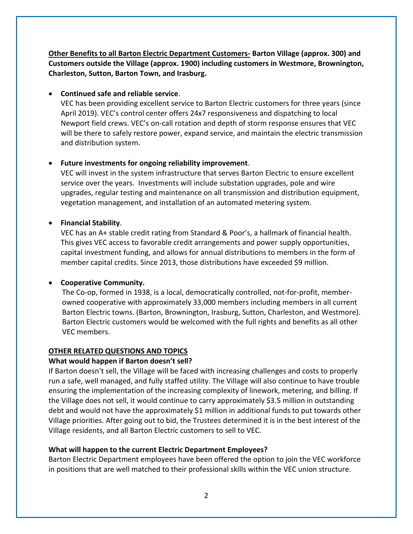**Other Benefits to all Barton Electric Department Customers- Barton Village (approx. 300) and Customers outside the Village (approx. 1900) including customers in Westmore, Brownington, Charleston, Sutton, Barton Town, and Irasburg.** 

## • **Continued safe and reliable service**.

VEC has been providing excellent service to Barton Electric customers for three years (since April 2019). VEC's control center offers 24x7 responsiveness and dispatching to local Newport field crews. VEC's on-call rotation and depth of storm response ensures that VEC will be there to safely restore power, expand service, and maintain the electric transmission and distribution system.

# • **Future investments for ongoing reliability improvement**.

VEC will invest in the system infrastructure that serves Barton Electric to ensure excellent service over the years. Investments will include substation upgrades, pole and wire upgrades, regular testing and maintenance on all transmission and distribution equipment, vegetation management, and installation of an automated metering system.

## • **Financial Stability**.

VEC has an A+ stable credit rating from Standard & Poor's, a hallmark of financial health. This gives VEC access to favorable credit arrangements and power supply opportunities, capital investment funding, and allows for annual distributions to members in the form of member capital credits. Since 2013, those distributions have exceeded \$9 million.

# • **Cooperative Community.**

The Co-op, formed in 1938, is a local, democratically controlled, not-for-profit, memberowned cooperative with approximately 33,000 members including members in all current Barton Electric towns. (Barton, Brownington, Irasburg, Sutton, Charleston, and Westmore). Barton Electric customers would be welcomed with the full rights and benefits as all other VEC members.

# **OTHER RELATED QUESTIONS AND TOPICS**

# **What would happen if Barton doesn't sell?**

If Barton doesn't sell, the Village will be faced with increasing challenges and costs to properly run a safe, well managed, and fully staffed utility. The Village will also continue to have trouble ensuring the implementation of the increasing complexity of linework, metering, and billing. If the Village does not sell, it would continue to carry approximately \$3.5 million in outstanding debt and would not have the approximately \$1 million in additional funds to put towards other Village priorities. After going out to bid, the Trustees determined it is in the best interest of the Village residents, and all Barton Electric customers to sell to VEC.

# **What will happen to the current Electric Department Employees?**

Barton Electric Department employees have been offered the option to join the VEC workforce in positions that are well matched to their professional skills within the VEC union structure.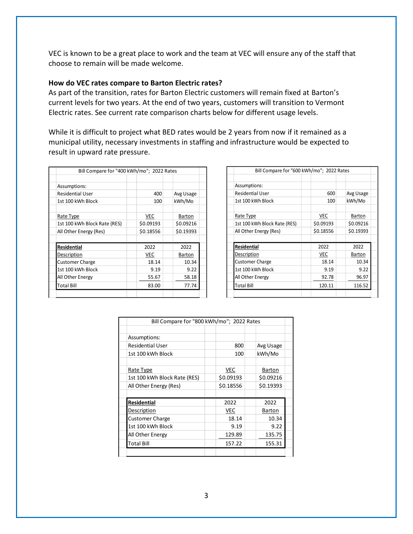VEC is known to be a great place to work and the team at VEC will ensure any of the staff that choose to remain will be made welcome.

### **How do VEC rates compare to Barton Electric rates?**

As part of the transition, rates for Barton Electric customers will remain fixed at Barton's current levels for two years. At the end of two years, customers will transition to Vermont Electric rates. See current rate comparison charts below for different usage levels.

While it is difficult to project what BED rates would be 2 years from now if it remained as a municipal utility, necessary investments in staffing and infrastructure would be expected to result in upward rate pressure.

| Bill Compare for "400 kWh/mo"; 2022 Rates |            |               |  |  |  |
|-------------------------------------------|------------|---------------|--|--|--|
|                                           |            |               |  |  |  |
| Assumptions:                              |            |               |  |  |  |
| <b>Residential User</b>                   | 400        | Avg Usage     |  |  |  |
| 1st 100 kWh Block                         | 100        | kWh/Mo        |  |  |  |
|                                           |            |               |  |  |  |
| Rate Type                                 | <b>VEC</b> | <b>Barton</b> |  |  |  |
| 1st 100 kWh Block Rate (RES)              | \$0.09193  | \$0.09216     |  |  |  |
| All Other Energy (Res)                    | \$0.18556  | \$0.19393     |  |  |  |
|                                           |            |               |  |  |  |
| <b>Residential</b>                        | 2022       | 2022          |  |  |  |
| Description                               | <b>VEC</b> | <b>Barton</b> |  |  |  |
| <b>Customer Charge</b>                    | 18.14      | 10.34         |  |  |  |
| 1st 100 kWh Block                         | 9.19       | 9.22          |  |  |  |
| All Other Energy                          | 55.67      | 58.18         |  |  |  |
| Total Bill                                | 83.00      | 77.74         |  |  |  |
|                                           |            |               |  |  |  |

| Bill Compare for "600 kWh/mo"; 2022 Rates |           |           |  |  |  |  |
|-------------------------------------------|-----------|-----------|--|--|--|--|
|                                           |           |           |  |  |  |  |
| Assumptions:                              |           |           |  |  |  |  |
| <b>Residential User</b>                   | 600       | Avg Usage |  |  |  |  |
| 1st 100 kWh Block                         | 100       | kWh/Mo    |  |  |  |  |
|                                           |           |           |  |  |  |  |
| Rate Type                                 | VEC       | Barton    |  |  |  |  |
| 1st 100 kWh Block Rate (RES)              | \$0.09193 | \$0.09216 |  |  |  |  |
| All Other Energy (Res)                    | \$0.18556 | \$0.19393 |  |  |  |  |
|                                           |           |           |  |  |  |  |
| <b>Residential</b>                        | 2022      | 2022      |  |  |  |  |
| Description                               | VEC       | Barton    |  |  |  |  |
| <b>Customer Charge</b>                    | 18.14     | 10.34     |  |  |  |  |
| 1st 100 kWh Block                         | 9.19      | 9.22      |  |  |  |  |
| All Other Energy                          | 92.78     | 96.97     |  |  |  |  |
| Total Bill                                | 120.11    | 116.52    |  |  |  |  |
|                                           |           |           |  |  |  |  |

| Bill Compare for "800 kWh/mo"; 2022 Rates |  |            |  |           |  |  |
|-------------------------------------------|--|------------|--|-----------|--|--|
|                                           |  |            |  |           |  |  |
| Assumptions:                              |  |            |  |           |  |  |
| <b>Residential User</b>                   |  | 800        |  | Avg Usage |  |  |
| 1st 100 kWh Block                         |  | 100        |  | kWh/Mo    |  |  |
|                                           |  |            |  |           |  |  |
| Rate Type                                 |  | <b>VEC</b> |  | Barton    |  |  |
| 1st 100 kWh Block Rate (RES)              |  | \$0.09193  |  | \$0.09216 |  |  |
| All Other Energy (Res)                    |  | \$0.18556  |  | \$0.19393 |  |  |
|                                           |  |            |  |           |  |  |
| Residential                               |  | 2022       |  | 2022      |  |  |
| Description                               |  | <b>VEC</b> |  | Barton    |  |  |
| <b>Customer Charge</b>                    |  | 18.14      |  | 10.34     |  |  |
| 1st 100 kWh Block                         |  | 9.19       |  | 9.22      |  |  |
| All Other Energy                          |  | 129.89     |  | 135.75    |  |  |
| Total Bill                                |  | 157.22     |  | 155.31    |  |  |
|                                           |  |            |  |           |  |  |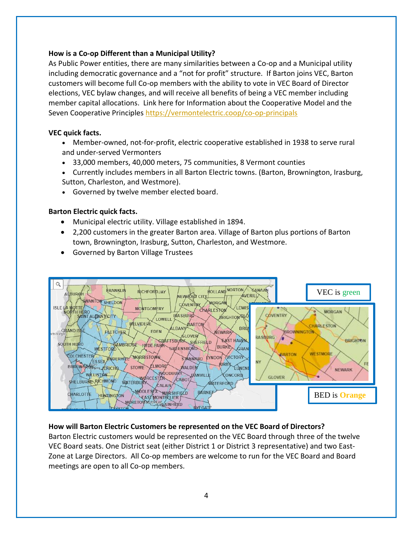## **How is a Co-op Different than a Municipal Utility?**

As Public Power entities, there are many similarities between a Co-op and a Municipal utility including democratic governance and a "not for profit" structure. If Barton joins VEC, Barton customers will become full Co-op members with the ability to vote in VEC Board of Director elections, VEC bylaw changes, and will receive all benefits of being a VEC member including member capital allocations. Link here for Information about the Cooperative Model and the Seven Cooperative Principle[s https://vermontelectric.coop/co-op-principals](https://vermontelectric.coop/co-op-principals)

## **VEC quick facts.**

- Member-owned, not-for-profit, electric cooperative established in 1938 to serve rural and under-served Vermonters
- 33,000 members, 40,000 meters, 75 communities, 8 Vermont counties
- Currently includes members in all Barton Electric towns. (Barton, Brownington, Irasburg, Sutton, Charleston, and Westmore).
- Governed by twelve member elected board.

## **Barton Electric quick facts.**

- Municipal electric utility. Village established in 1894.
- 2,200 customers in the greater Barton area. Village of Barton plus portions of Barton town, Brownington, Irasburg, Sutton, Charleston, and Westmore.
- Governed by Barton Village Trustees



# **How will Barton Electric Customers be represented on the VEC Board of Directors?**

Barton Electric customers would be represented on the VEC Board through three of the twelve VEC Board seats. One District seat (either District 1 or District 3 representative) and two East-Zone at Large Directors. All Co-op members are welcome to run for the VEC Board and Board meetings are open to all Co-op members.